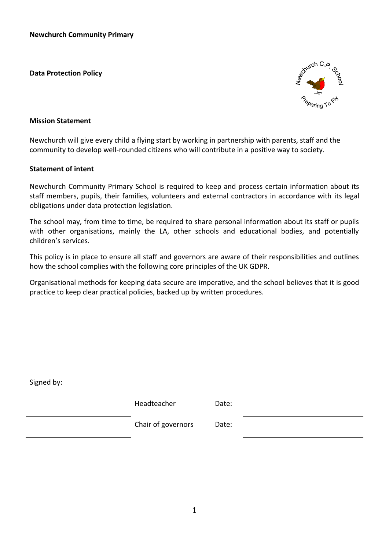**Data Protection Policy**



### **Mission Statement**

Newchurch will give every child a flying start by working in partnership with parents, staff and the community to develop well-rounded citizens who will contribute in a positive way to society.

### **Statement of intent**

Newchurch Community Primary School is required to keep and process certain information about its staff members, pupils, their families, volunteers and external contractors in accordance with its legal obligations under data protection legislation.

The school may, from time to time, be required to share personal information about its staff or pupils with other organisations, mainly the LA, other schools and educational bodies, and potentially children's services.

This policy is in place to ensure all staff and governors are aware of their responsibilities and outlines how the school complies with the following core principles of the UK GDPR.

Organisational methods for keeping data secure are imperative, and the school believes that it is good practice to keep clear practical policies, backed up by written procedures.

| Headteacher        | Date: |  |
|--------------------|-------|--|
| Chair of governors | Date: |  |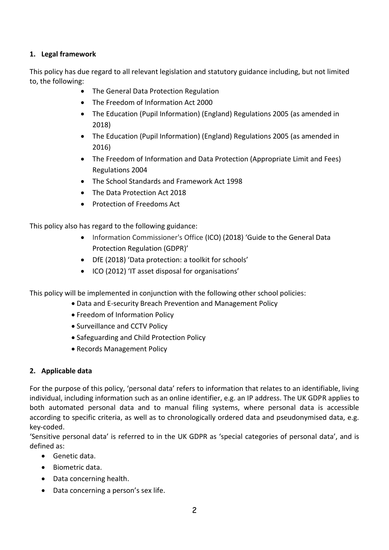## **1. Legal framework**

This policy has due regard to all relevant legislation and statutory guidance including, but not limited to, the following:

- The General Data Protection Regulation
- The Freedom of Information Act 2000
- The Education (Pupil Information) (England) Regulations 2005 (as amended in 2018)
- The Education (Pupil Information) (England) Regulations 2005 (as amended in 2016)
- The Freedom of Information and Data Protection (Appropriate Limit and Fees) Regulations 2004
- The School Standards and Framework Act 1998
- The Data Protection Act 2018
- Protection of Freedoms Act

This policy also has regard to the following guidance:

- Information Commissioner's Office (ICO) (2018) 'Guide to the General Data Protection Regulation (GDPR)'
- DfE (2018) 'Data protection: a toolkit for schools'
- ICO (2012) 'IT asset disposal for organisations'

This policy will be implemented in conjunction with the following other school policies:

- Data and E-security Breach Prevention and Management Policy
- Freedom of Information Policy
- Surveillance and CCTV Policy
- Safeguarding and Child Protection Policy
- Records Management Policy

### **2. Applicable data**

For the purpose of this policy, 'personal data' refers to information that relates to an identifiable, living individual, including information such as an online identifier, e.g. an IP address. The UK GDPR applies to both automated personal data and to manual filing systems, where personal data is accessible according to specific criteria, as well as to chronologically ordered data and pseudonymised data, e.g. key-coded.

'Sensitive personal data' is referred to in the UK GDPR as 'special categories of personal data', and is defined as:

- Genetic data.
- Biometric data.
- Data concerning health.
- Data concerning a person's sex life.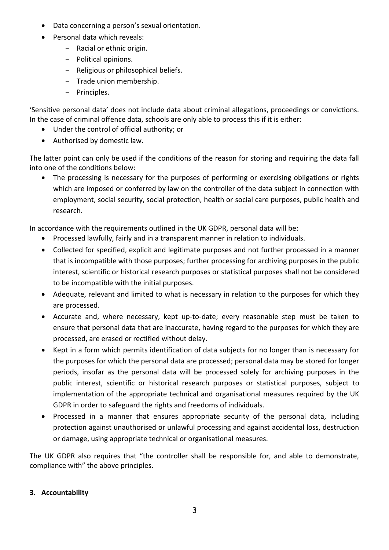- Data concerning a person's sexual orientation.
- **Personal data which reveals:** 
	- Racial or ethnic origin.
	- Political opinions.
	- Religious or philosophical beliefs.
	- Trade union membership.
	- Principles.

'Sensitive personal data' does not include data about criminal allegations, proceedings or convictions. In the case of criminal offence data, schools are only able to process this if it is either:

- Under the control of official authority; or
- Authorised by domestic law.

The latter point can only be used if the conditions of the reason for storing and requiring the data fall into one of the conditions below:

• The processing is necessary for the purposes of performing or exercising obligations or rights which are imposed or conferred by law on the controller of the data subject in connection with employment, social security, social protection, health or social care purposes, public health and research.

In accordance with the requirements outlined in the UK GDPR, personal data will be:

- Processed lawfully, fairly and in a transparent manner in relation to individuals.
- Collected for specified, explicit and legitimate purposes and not further processed in a manner that is incompatible with those purposes; further processing for archiving purposes in the public interest, scientific or historical research purposes or statistical purposes shall not be considered to be incompatible with the initial purposes.
- Adequate, relevant and limited to what is necessary in relation to the purposes for which they are processed.
- Accurate and, where necessary, kept up-to-date; every reasonable step must be taken to ensure that personal data that are inaccurate, having regard to the purposes for which they are processed, are erased or rectified without delay.
- Kept in a form which permits identification of data subjects for no longer than is necessary for the purposes for which the personal data are processed; personal data may be stored for longer periods, insofar as the personal data will be processed solely for archiving purposes in the public interest, scientific or historical research purposes or statistical purposes, subject to implementation of the appropriate technical and organisational measures required by the UK GDPR in order to safeguard the rights and freedoms of individuals.
- Processed in a manner that ensures appropriate security of the personal data, including protection against unauthorised or unlawful processing and against accidental loss, destruction or damage, using appropriate technical or organisational measures.

The UK GDPR also requires that "the controller shall be responsible for, and able to demonstrate, compliance with" the above principles.

# **3. Accountability**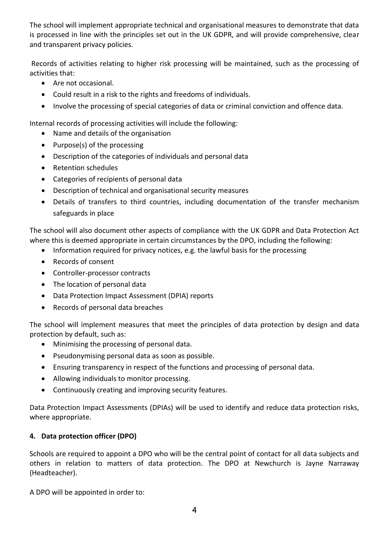The school will implement appropriate technical and organisational measures to demonstrate that data is processed in line with the principles set out in the UK GDPR, and will provide comprehensive, clear and transparent privacy policies.

Records of activities relating to higher risk processing will be maintained, such as the processing of activities that:

- Are not occasional.
- Could result in a risk to the rights and freedoms of individuals.
- Involve the processing of special categories of data or criminal conviction and offence data.

Internal records of processing activities will include the following:

- Name and details of the organisation
- Purpose(s) of the processing
- Description of the categories of individuals and personal data
- Retention schedules
- Categories of recipients of personal data
- Description of technical and organisational security measures
- Details of transfers to third countries, including documentation of the transfer mechanism safeguards in place

The school will also document other aspects of compliance with the UK GDPR and Data Protection Act where this is deemed appropriate in certain circumstances by the DPO, including the following:

- Information required for privacy notices, e.g. the lawful basis for the processing
- Records of consent
- Controller-processor contracts
- The location of personal data
- Data Protection Impact Assessment (DPIA) reports
- Records of personal data breaches

The school will implement measures that meet the principles of data protection by design and data protection by default, such as:

- Minimising the processing of personal data.
- Pseudonymising personal data as soon as possible.
- Ensuring transparency in respect of the functions and processing of personal data.
- Allowing individuals to monitor processing.
- Continuously creating and improving security features.

Data Protection Impact Assessments (DPIAs) will be used to identify and reduce data protection risks, where appropriate.

# **4. Data protection officer (DPO)**

Schools are required to appoint a DPO who will be the central point of contact for all data subjects and others in relation to matters of data protection. The DPO at Newchurch is Jayne Narraway (Headteacher).

A DPO will be appointed in order to: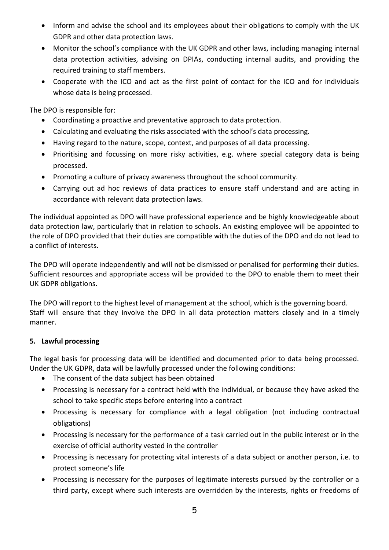- Inform and advise the school and its employees about their obligations to comply with the UK GDPR and other data protection laws.
- Monitor the school's compliance with the UK GDPR and other laws, including managing internal data protection activities, advising on DPIAs, conducting internal audits, and providing the required training to staff members.
- Cooperate with the ICO and act as the first point of contact for the ICO and for individuals whose data is being processed.

The DPO is responsible for:

- Coordinating a proactive and preventative approach to data protection.
- Calculating and evaluating the risks associated with the school's data processing.
- Having regard to the nature, scope, context, and purposes of all data processing.
- Prioritising and focussing on more risky activities, e.g. where special category data is being processed.
- Promoting a culture of privacy awareness throughout the school community.
- Carrying out ad hoc reviews of data practices to ensure staff understand and are acting in accordance with relevant data protection laws.

The individual appointed as DPO will have professional experience and be highly knowledgeable about data protection law, particularly that in relation to schools. An existing employee will be appointed to the role of DPO provided that their duties are compatible with the duties of the DPO and do not lead to a conflict of interests.

The DPO will operate independently and will not be dismissed or penalised for performing their duties. Sufficient resources and appropriate access will be provided to the DPO to enable them to meet their UK GDPR obligations.

The DPO will report to the highest level of management at the school, which is the governing board. Staff will ensure that they involve the DPO in all data protection matters closely and in a timely manner.

## **5. Lawful processing**

The legal basis for processing data will be identified and documented prior to data being processed. Under the UK GDPR, data will be lawfully processed under the following conditions:

- The consent of the data subject has been obtained
- Processing is necessary for a contract held with the individual, or because they have asked the school to take specific steps before entering into a contract
- Processing is necessary for compliance with a legal obligation (not including contractual obligations)
- Processing is necessary for the performance of a task carried out in the public interest or in the exercise of official authority vested in the controller
- Processing is necessary for protecting vital interests of a data subject or another person, i.e. to protect someone's life
- Processing is necessary for the purposes of legitimate interests pursued by the controller or a third party, except where such interests are overridden by the interests, rights or freedoms of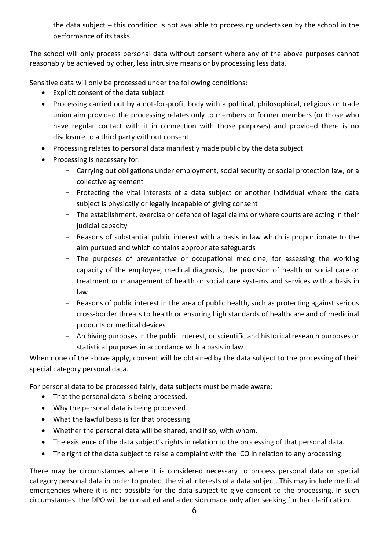the data subject – this condition is not available to processing undertaken by the school in the performance of its tasks

The school will only process personal data without consent where any of the above purposes cannot reasonably be achieved by other, less intrusive means or by processing less data.

Sensitive data will only be processed under the following conditions:

- Explicit consent of the data subject
- Processing carried out by a not-for-profit body with a political, philosophical, religious or trade union aim provided the processing relates only to members or former members (or those who have regular contact with it in connection with those purposes) and provided there is no disclosure to a third party without consent
- Processing relates to personal data manifestly made public by the data subject
- Processing is necessary for:
	- Carrying out obligations under employment, social security or social protection law, or a collective agreement
	- Protecting the vital interests of a data subject or another individual where the data subject is physically or legally incapable of giving consent
	- The establishment, exercise or defence of legal claims or where courts are acting in their judicial capacity
	- Reasons of substantial public interest with a basis in law which is proportionate to the aim pursued and which contains appropriate safeguards
	- The purposes of preventative or occupational medicine, for assessing the working capacity of the employee, medical diagnosis, the provision of health or social care or treatment or management of health or social care systems and services with a basis in law
	- Reasons of public interest in the area of public health, such as protecting against serious cross-border threats to health or ensuring high standards of healthcare and of medicinal products or medical devices
	- Archiving purposes in the public interest, or scientific and historical research purposes or statistical purposes in accordance with a basis in law

When none of the above apply, consent will be obtained by the data subject to the processing of their special category personal data.

For personal data to be processed fairly, data subjects must be made aware:

- That the personal data is being processed.
- Why the personal data is being processed.
- What the lawful basis is for that processing.
- Whether the personal data will be shared, and if so, with whom.
- The existence of the data subject's rights in relation to the processing of that personal data.
- The right of the data subject to raise a complaint with the ICO in relation to any processing.

There may be circumstances where it is considered necessary to process personal data or special category personal data in order to protect the vital interests of a data subject. This may include medical emergencies where it is not possible for the data subject to give consent to the processing. In such circumstances, the DPO will be consulted and a decision made only after seeking further clarification.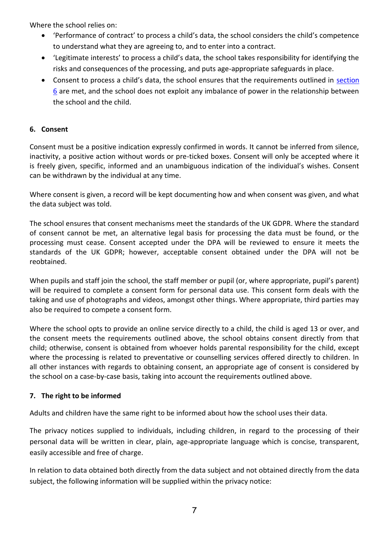Where the school relies on:

- 'Performance of contract' to process a child's data, the school considers the child's competence to understand what they are agreeing to, and to enter into a contract.
- 'Legitimate interests' to process a child's data, the school takes responsibility for identifying the risks and consequences of the processing, and puts age-appropriate safeguards in place.
- Consent to process a child's data, the school ensures that the requirements outlined in section 6 are met, and the school does not exploit any imbalance of power in the relationship between the school and the child.

## **6. Consent**

Consent must be a positive indication expressly confirmed in words. It cannot be inferred from silence, inactivity, a positive action without words or pre-ticked boxes. Consent will only be accepted where it is freely given, specific, informed and an unambiguous indication of the individual's wishes. Consent can be withdrawn by the individual at any time.

Where consent is given, a record will be kept documenting how and when consent was given, and what the data subject was told.

The school ensures that consent mechanisms meet the standards of the UK GDPR. Where the standard of consent cannot be met, an alternative legal basis for processing the data must be found, or the processing must cease. Consent accepted under the DPA will be reviewed to ensure it meets the standards of the UK GDPR; however, acceptable consent obtained under the DPA will not be reobtained.

When pupils and staff join the school, the staff member or pupil (or, where appropriate, pupil's parent) will be required to complete a consent form for personal data use. This consent form deals with the taking and use of photographs and videos, amongst other things. Where appropriate, third parties may also be required to compete a consent form.

Where the school opts to provide an online service directly to a child, the child is aged 13 or over, and the consent meets the requirements outlined above, the school obtains consent directly from that child; otherwise, consent is obtained from whoever holds parental responsibility for the child, except where the processing is related to preventative or counselling services offered directly to children. In all other instances with regards to obtaining consent, an appropriate age of consent is considered by the school on a case-by-case basis, taking into account the requirements outlined above.

## **7. The right to be informed**

Adults and children have the same right to be informed about how the school uses their data.

The privacy notices supplied to individuals, including children, in regard to the processing of their personal data will be written in clear, plain, age-appropriate language which is concise, transparent, easily accessible and free of charge.

In relation to data obtained both directly from the data subject and not obtained directly from the data subject, the following information will be supplied within the privacy notice: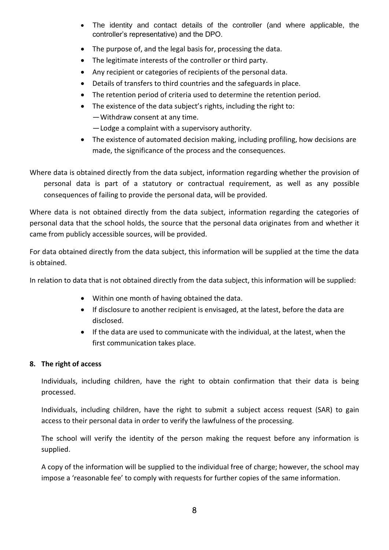- The identity and contact details of the controller (and where applicable, the controller's representative) and the DPO.
- The purpose of, and the legal basis for, processing the data.
- The legitimate interests of the controller or third party.
- Any recipient or categories of recipients of the personal data.
- Details of transfers to third countries and the safeguards in place.
- The retention period of criteria used to determine the retention period.
- The existence of the data subject's rights, including the right to: —Withdraw consent at any time. —Lodge a complaint with a supervisory authority.
- The existence of automated decision making, including profiling, how decisions are made, the significance of the process and the consequences.

Where data is obtained directly from the data subject, information regarding whether the provision of personal data is part of a statutory or contractual requirement, as well as any possible consequences of failing to provide the personal data, will be provided.

Where data is not obtained directly from the data subject, information regarding the categories of personal data that the school holds, the source that the personal data originates from and whether it came from publicly accessible sources, will be provided.

For data obtained directly from the data subject, this information will be supplied at the time the data is obtained.

In relation to data that is not obtained directly from the data subject, this information will be supplied:

- Within one month of having obtained the data.
- If disclosure to another recipient is envisaged, at the latest, before the data are disclosed.
- If the data are used to communicate with the individual, at the latest, when the first communication takes place.

# **8. The right of access**

Individuals, including children, have the right to obtain confirmation that their data is being processed.

Individuals, including children, have the right to submit a subject access request (SAR) to gain access to their personal data in order to verify the lawfulness of the processing.

The school will verify the identity of the person making the request before any information is supplied.

A copy of the information will be supplied to the individual free of charge; however, the school may impose a 'reasonable fee' to comply with requests for further copies of the same information.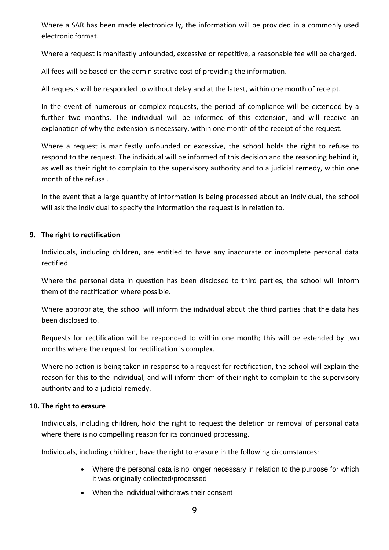Where a SAR has been made electronically, the information will be provided in a commonly used electronic format.

Where a request is manifestly unfounded, excessive or repetitive, a reasonable fee will be charged.

All fees will be based on the administrative cost of providing the information.

All requests will be responded to without delay and at the latest, within one month of receipt.

In the event of numerous or complex requests, the period of compliance will be extended by a further two months. The individual will be informed of this extension, and will receive an explanation of why the extension is necessary, within one month of the receipt of the request.

Where a request is manifestly unfounded or excessive, the school holds the right to refuse to respond to the request. The individual will be informed of this decision and the reasoning behind it, as well as their right to complain to the supervisory authority and to a judicial remedy, within one month of the refusal.

In the event that a large quantity of information is being processed about an individual, the school will ask the individual to specify the information the request is in relation to.

### **9. The right to rectification**

Individuals, including children, are entitled to have any inaccurate or incomplete personal data rectified.

Where the personal data in question has been disclosed to third parties, the school will inform them of the rectification where possible.

Where appropriate, the school will inform the individual about the third parties that the data has been disclosed to.

Requests for rectification will be responded to within one month; this will be extended by two months where the request for rectification is complex.

Where no action is being taken in response to a request for rectification, the school will explain the reason for this to the individual, and will inform them of their right to complain to the supervisory authority and to a judicial remedy.

### **10. The right to erasure**

Individuals, including children, hold the right to request the deletion or removal of personal data where there is no compelling reason for its continued processing.

Individuals, including children, have the right to erasure in the following circumstances:

- Where the personal data is no longer necessary in relation to the purpose for which it was originally collected/processed
- When the individual withdraws their consent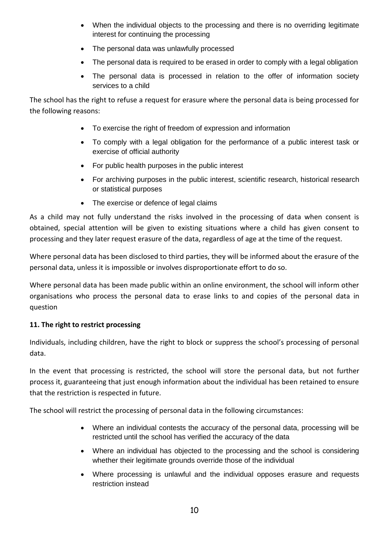- When the individual objects to the processing and there is no overriding legitimate interest for continuing the processing
- The personal data was unlawfully processed
- The personal data is required to be erased in order to comply with a legal obligation
- The personal data is processed in relation to the offer of information society services to a child

The school has the right to refuse a request for erasure where the personal data is being processed for the following reasons:

- To exercise the right of freedom of expression and information
- To comply with a legal obligation for the performance of a public interest task or exercise of official authority
- For public health purposes in the public interest
- For archiving purposes in the public interest, scientific research, historical research or statistical purposes
- The exercise or defence of legal claims

As a child may not fully understand the risks involved in the processing of data when consent is obtained, special attention will be given to existing situations where a child has given consent to processing and they later request erasure of the data, regardless of age at the time of the request.

Where personal data has been disclosed to third parties, they will be informed about the erasure of the personal data, unless it is impossible or involves disproportionate effort to do so.

Where personal data has been made public within an online environment, the school will inform other organisations who process the personal data to erase links to and copies of the personal data in question

# **11. The right to restrict processing**

Individuals, including children, have the right to block or suppress the school's processing of personal data.

In the event that processing is restricted, the school will store the personal data, but not further process it, guaranteeing that just enough information about the individual has been retained to ensure that the restriction is respected in future.

The school will restrict the processing of personal data in the following circumstances:

- Where an individual contests the accuracy of the personal data, processing will be restricted until the school has verified the accuracy of the data
- Where an individual has objected to the processing and the school is considering whether their legitimate grounds override those of the individual
- Where processing is unlawful and the individual opposes erasure and requests restriction instead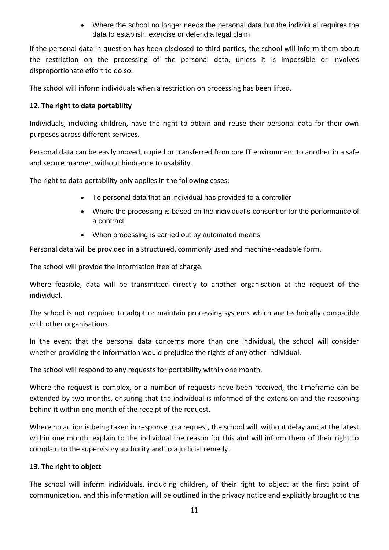Where the school no longer needs the personal data but the individual requires the data to establish, exercise or defend a legal claim

If the personal data in question has been disclosed to third parties, the school will inform them about the restriction on the processing of the personal data, unless it is impossible or involves disproportionate effort to do so.

The school will inform individuals when a restriction on processing has been lifted.

# **12. The right to data portability**

Individuals, including children, have the right to obtain and reuse their personal data for their own purposes across different services.

Personal data can be easily moved, copied or transferred from one IT environment to another in a safe and secure manner, without hindrance to usability.

The right to data portability only applies in the following cases:

- To personal data that an individual has provided to a controller
- Where the processing is based on the individual's consent or for the performance of a contract
- When processing is carried out by automated means

Personal data will be provided in a structured, commonly used and machine-readable form.

The school will provide the information free of charge.

Where feasible, data will be transmitted directly to another organisation at the request of the individual.

The school is not required to adopt or maintain processing systems which are technically compatible with other organisations.

In the event that the personal data concerns more than one individual, the school will consider whether providing the information would prejudice the rights of any other individual.

The school will respond to any requests for portability within one month.

Where the request is complex, or a number of requests have been received, the timeframe can be extended by two months, ensuring that the individual is informed of the extension and the reasoning behind it within one month of the receipt of the request.

Where no action is being taken in response to a request, the school will, without delay and at the latest within one month, explain to the individual the reason for this and will inform them of their right to complain to the supervisory authority and to a judicial remedy.

# **13. The right to object**

The school will inform individuals, including children, of their right to object at the first point of communication, and this information will be outlined in the privacy notice and explicitly brought to the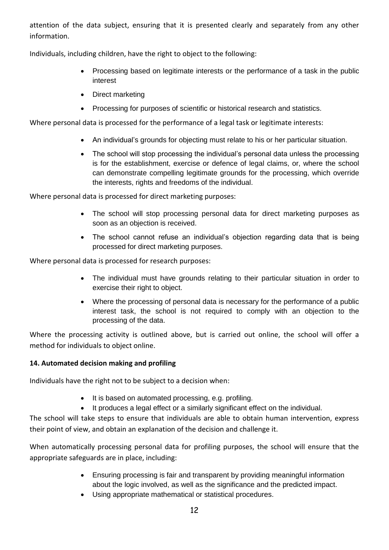attention of the data subject, ensuring that it is presented clearly and separately from any other information.

Individuals, including children, have the right to object to the following:

- Processing based on legitimate interests or the performance of a task in the public interest
- Direct marketing
- Processing for purposes of scientific or historical research and statistics.

Where personal data is processed for the performance of a legal task or legitimate interests:

- An individual's grounds for objecting must relate to his or her particular situation.
- The school will stop processing the individual's personal data unless the processing is for the establishment, exercise or defence of legal claims, or, where the school can demonstrate compelling legitimate grounds for the processing, which override the interests, rights and freedoms of the individual.

Where personal data is processed for direct marketing purposes:

- The school will stop processing personal data for direct marketing purposes as soon as an objection is received.
- The school cannot refuse an individual's objection regarding data that is being processed for direct marketing purposes.

Where personal data is processed for research purposes:

- The individual must have grounds relating to their particular situation in order to exercise their right to object.
- Where the processing of personal data is necessary for the performance of a public interest task, the school is not required to comply with an objection to the processing of the data.

Where the processing activity is outlined above, but is carried out online, the school will offer a method for individuals to object online.

## **14. Automated decision making and profiling**

Individuals have the right not to be subject to a decision when:

- It is based on automated processing, e.g. profiling.
- It produces a legal effect or a similarly significant effect on the individual.

The school will take steps to ensure that individuals are able to obtain human intervention, express their point of view, and obtain an explanation of the decision and challenge it.

When automatically processing personal data for profiling purposes, the school will ensure that the appropriate safeguards are in place, including:

- Ensuring processing is fair and transparent by providing meaningful information about the logic involved, as well as the significance and the predicted impact.
- Using appropriate mathematical or statistical procedures.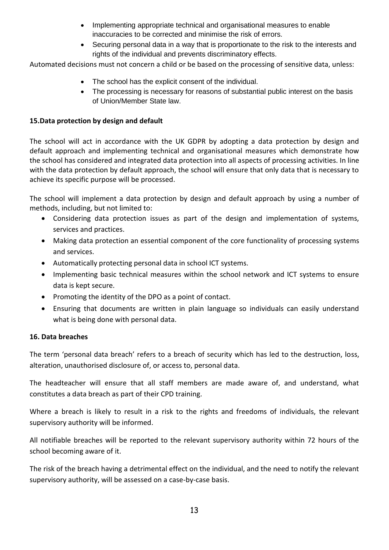- Implementing appropriate technical and organisational measures to enable inaccuracies to be corrected and minimise the risk of errors.
- Securing personal data in a way that is proportionate to the risk to the interests and rights of the individual and prevents discriminatory effects.

Automated decisions must not concern a child or be based on the processing of sensitive data, unless:

- The school has the explicit consent of the individual.
- The processing is necessary for reasons of substantial public interest on the basis of Union/Member State law.

## **15.Data protection by design and default**

The school will act in accordance with the UK GDPR by adopting a data protection by design and default approach and implementing technical and organisational measures which demonstrate how the school has considered and integrated data protection into all aspects of processing activities. In line with the data protection by default approach, the school will ensure that only data that is necessary to achieve its specific purpose will be processed.

The school will implement a data protection by design and default approach by using a number of methods, including, but not limited to:

- Considering data protection issues as part of the design and implementation of systems, services and practices.
- Making data protection an essential component of the core functionality of processing systems and services.
- Automatically protecting personal data in school ICT systems.
- Implementing basic technical measures within the school network and ICT systems to ensure data is kept secure.
- Promoting the identity of the DPO as a point of contact.
- Ensuring that documents are written in plain language so individuals can easily understand what is being done with personal data.

## **16. Data breaches**

The term 'personal data breach' refers to a breach of security which has led to the destruction, loss, alteration, unauthorised disclosure of, or access to, personal data.

The headteacher will ensure that all staff members are made aware of, and understand, what constitutes a data breach as part of their CPD training.

Where a breach is likely to result in a risk to the rights and freedoms of individuals, the relevant supervisory authority will be informed.

All notifiable breaches will be reported to the relevant supervisory authority within 72 hours of the school becoming aware of it.

The risk of the breach having a detrimental effect on the individual, and the need to notify the relevant supervisory authority, will be assessed on a case-by-case basis.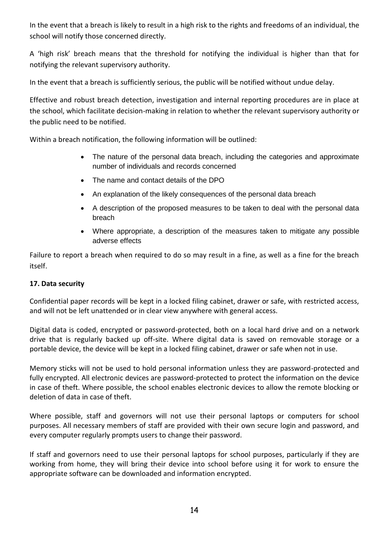In the event that a breach is likely to result in a high risk to the rights and freedoms of an individual, the school will notify those concerned directly.

A 'high risk' breach means that the threshold for notifying the individual is higher than that for notifying the relevant supervisory authority.

In the event that a breach is sufficiently serious, the public will be notified without undue delay.

Effective and robust breach detection, investigation and internal reporting procedures are in place at the school, which facilitate decision-making in relation to whether the relevant supervisory authority or the public need to be notified.

Within a breach notification, the following information will be outlined:

- The nature of the personal data breach, including the categories and approximate number of individuals and records concerned
- The name and contact details of the DPO
- An explanation of the likely consequences of the personal data breach
- A description of the proposed measures to be taken to deal with the personal data breach
- Where appropriate, a description of the measures taken to mitigate any possible adverse effects

Failure to report a breach when required to do so may result in a fine, as well as a fine for the breach itself.

## **17. Data security**

Confidential paper records will be kept in a locked filing cabinet, drawer or safe, with restricted access, and will not be left unattended or in clear view anywhere with general access.

Digital data is coded, encrypted or password-protected, both on a local hard drive and on a network drive that is regularly backed up off-site. Where digital data is saved on removable storage or a portable device, the device will be kept in a locked filing cabinet, drawer or safe when not in use.

Memory sticks will not be used to hold personal information unless they are password-protected and fully encrypted. All electronic devices are password-protected to protect the information on the device in case of theft. Where possible, the school enables electronic devices to allow the remote blocking or deletion of data in case of theft.

Where possible, staff and governors will not use their personal laptops or computers for school purposes. All necessary members of staff are provided with their own secure login and password, and every computer regularly prompts users to change their password.

If staff and governors need to use their personal laptops for school purposes, particularly if they are working from home, they will bring their device into school before using it for work to ensure the appropriate software can be downloaded and information encrypted.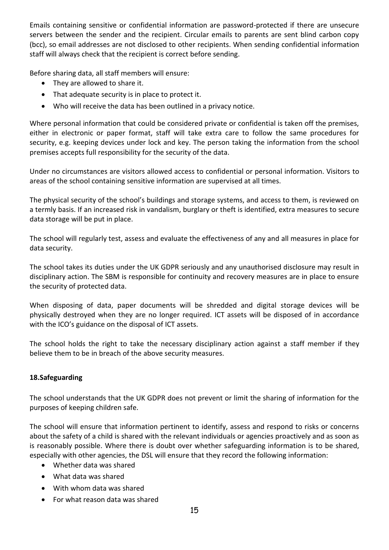Emails containing sensitive or confidential information are password-protected if there are unsecure servers between the sender and the recipient. Circular emails to parents are sent blind carbon copy (bcc), so email addresses are not disclosed to other recipients. When sending confidential information staff will always check that the recipient is correct before sending.

Before sharing data, all staff members will ensure:

- They are allowed to share it.
- That adequate security is in place to protect it.
- Who will receive the data has been outlined in a privacy notice.

Where personal information that could be considered private or confidential is taken off the premises, either in electronic or paper format, staff will take extra care to follow the same procedures for security, e.g. keeping devices under lock and key. The person taking the information from the school premises accepts full responsibility for the security of the data.

Under no circumstances are visitors allowed access to confidential or personal information. Visitors to areas of the school containing sensitive information are supervised at all times.

The physical security of the school's buildings and storage systems, and access to them, is reviewed on a termly basis. If an increased risk in vandalism, burglary or theft is identified, extra measures to secure data storage will be put in place.

The school will regularly test, assess and evaluate the effectiveness of any and all measures in place for data security.

The school takes its duties under the UK GDPR seriously and any unauthorised disclosure may result in disciplinary action. The SBM is responsible for continuity and recovery measures are in place to ensure the security of protected data.

When disposing of data, paper documents will be shredded and digital storage devices will be physically destroyed when they are no longer required. ICT assets will be disposed of in accordance with the ICO's guidance on the disposal of ICT assets.

The school holds the right to take the necessary disciplinary action against a staff member if they believe them to be in breach of the above security measures.

## **18.Safeguarding**

The school understands that the UK GDPR does not prevent or limit the sharing of information for the purposes of keeping children safe.

The school will ensure that information pertinent to identify, assess and respond to risks or concerns about the safety of a child is shared with the relevant individuals or agencies proactively and as soon as is reasonably possible. Where there is doubt over whether safeguarding information is to be shared, especially with other agencies, the DSL will ensure that they record the following information:

- Whether data was shared
- What data was shared
- With whom data was shared
- For what reason data was shared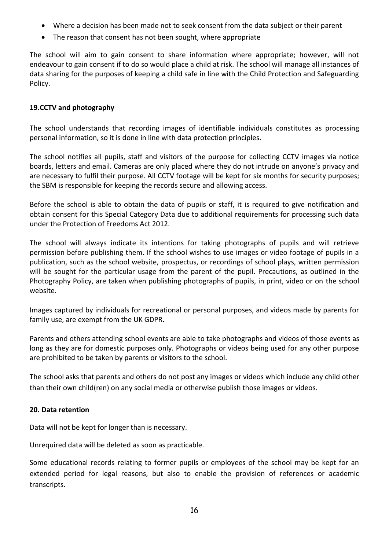- Where a decision has been made not to seek consent from the data subject or their parent
- The reason that consent has not been sought, where appropriate

The school will aim to gain consent to share information where appropriate; however, will not endeavour to gain consent if to do so would place a child at risk. The school will manage all instances of data sharing for the purposes of keeping a child safe in line with the Child Protection and Safeguarding Policy.

## **19.CCTV and photography**

The school understands that recording images of identifiable individuals constitutes as processing personal information, so it is done in line with data protection principles.

The school notifies all pupils, staff and visitors of the purpose for collecting CCTV images via notice boards, letters and email. Cameras are only placed where they do not intrude on anyone's privacy and are necessary to fulfil their purpose. All CCTV footage will be kept for six months for security purposes; the SBM is responsible for keeping the records secure and allowing access.

Before the school is able to obtain the data of pupils or staff, it is required to give notification and obtain consent for this Special Category Data due to additional requirements for processing such data under the Protection of Freedoms Act 2012.

The school will always indicate its intentions for taking photographs of pupils and will retrieve permission before publishing them. If the school wishes to use images or video footage of pupils in a publication, such as the school website, prospectus, or recordings of school plays, written permission will be sought for the particular usage from the parent of the pupil. Precautions, as outlined in the Photography Policy, are taken when publishing photographs of pupils, in print, video or on the school website.

Images captured by individuals for recreational or personal purposes, and videos made by parents for family use, are exempt from the UK GDPR.

Parents and others attending school events are able to take photographs and videos of those events as long as they are for domestic purposes only. Photographs or videos being used for any other purpose are prohibited to be taken by parents or visitors to the school.

The school asks that parents and others do not post any images or videos which include any child other than their own child(ren) on any social media or otherwise publish those images or videos.

### **20. Data retention**

Data will not be kept for longer than is necessary.

Unrequired data will be deleted as soon as practicable.

Some educational records relating to former pupils or employees of the school may be kept for an extended period for legal reasons, but also to enable the provision of references or academic transcripts.